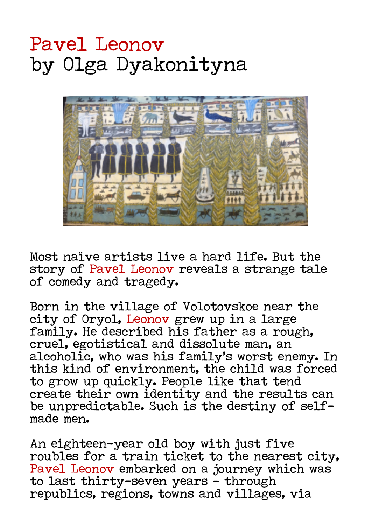## Pavel Leonov by Olga Dyakonityna



Most naïve artists live a hard life. But the story of Pavel Leonov reveals a strange tale of comedy and tragedy.

Born in the village of Volotovskoe near the city of Oryol, Leonov grew up in a large family. He described his father as a rough, cruel, egotistical and dissolute man, an alcoholic, who was his family's worst enemy. In this kind of environment, the child was forced to grow up quickly. People like that tend create their own identity and the results can be unpredictable. Such is the destiny of selfmade men.

An eighteen-year old boy with just five roubles for a train ticket to the nearest city, Pavel Leonov embarked on a journey which was to last thirty-seven years – through republics, regions, towns and villages, via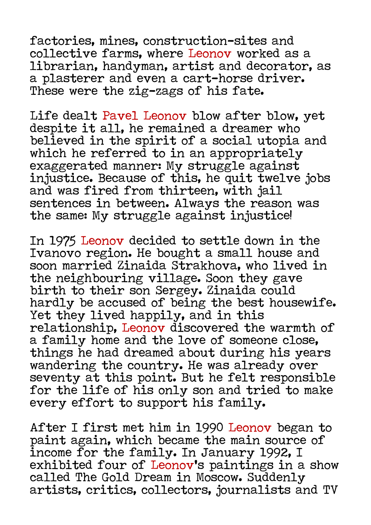factories, mines, construction-sites and collective farms, where Leonov worked as a librarian, handyman, artist and decorator, as a plasterer and even a cart-horse driver. These were the zig-zags of his fate.

Life dealt Pavel Leonov blow after blow, yet despite it all, he remained a dreamer who believed in the spirit of a social utopia and which he referred to in an appropriately exaggerated manner: My struggle against injustice. Because of this, he quit twelve jobs and was fired from thirteen, with jail sentences in between. Always the reason was the same: My struggle against injustice!

In 1975 Leonov decided to settle down in the Ivanovo region. He bought a small house and soon married Zinaida Strakhova, who lived in the neighbouring village. Soon they gave birth to their son Sergey. Zinaida could hardly be accused of being the best housewife. Yet they lived happily, and in this relationship, Leonov discovered the warmth of a family home and the love of someone close, things he had dreamed about during his years wandering the country. He was already over seventy at this point. But he felt responsible for the life of his only son and tried to make every effort to support his family.

After I first met him in 1990 Leonov began to paint again, which became the main source of income for the family. In January 1992, I exhibited four of Leonov's paintings in a show called The Gold Dream in Moscow. Suddenly artists, critics, collectors, journalists and TV